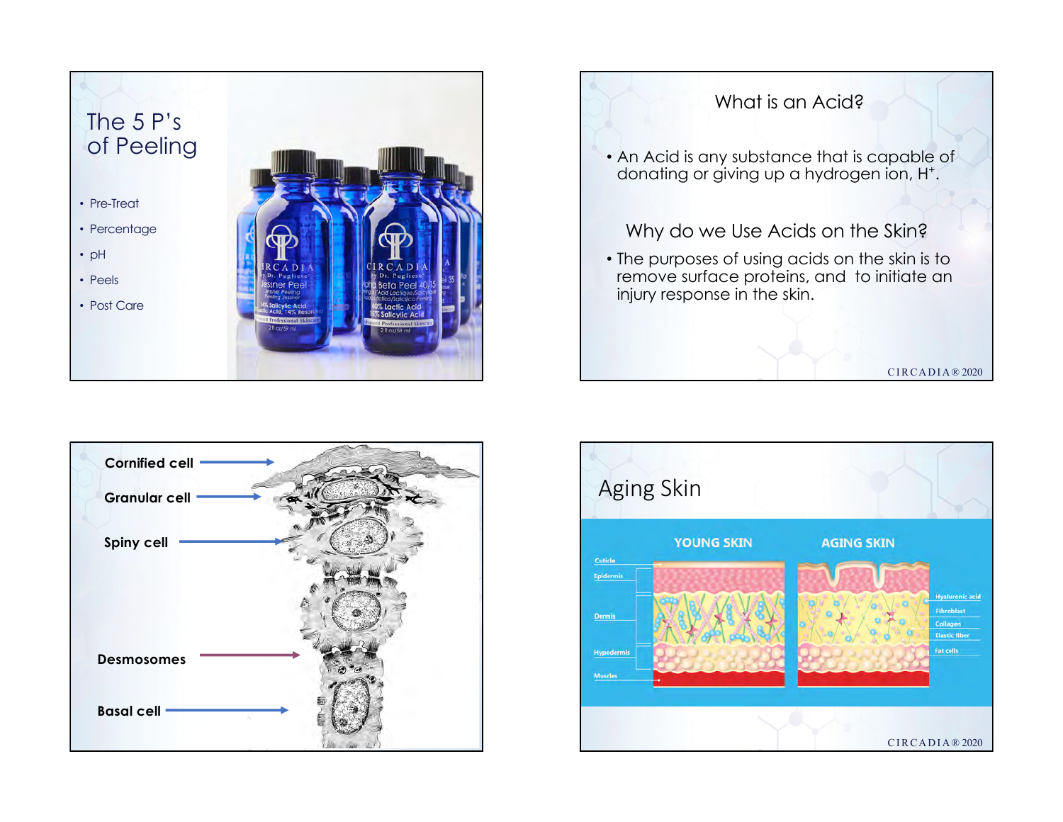





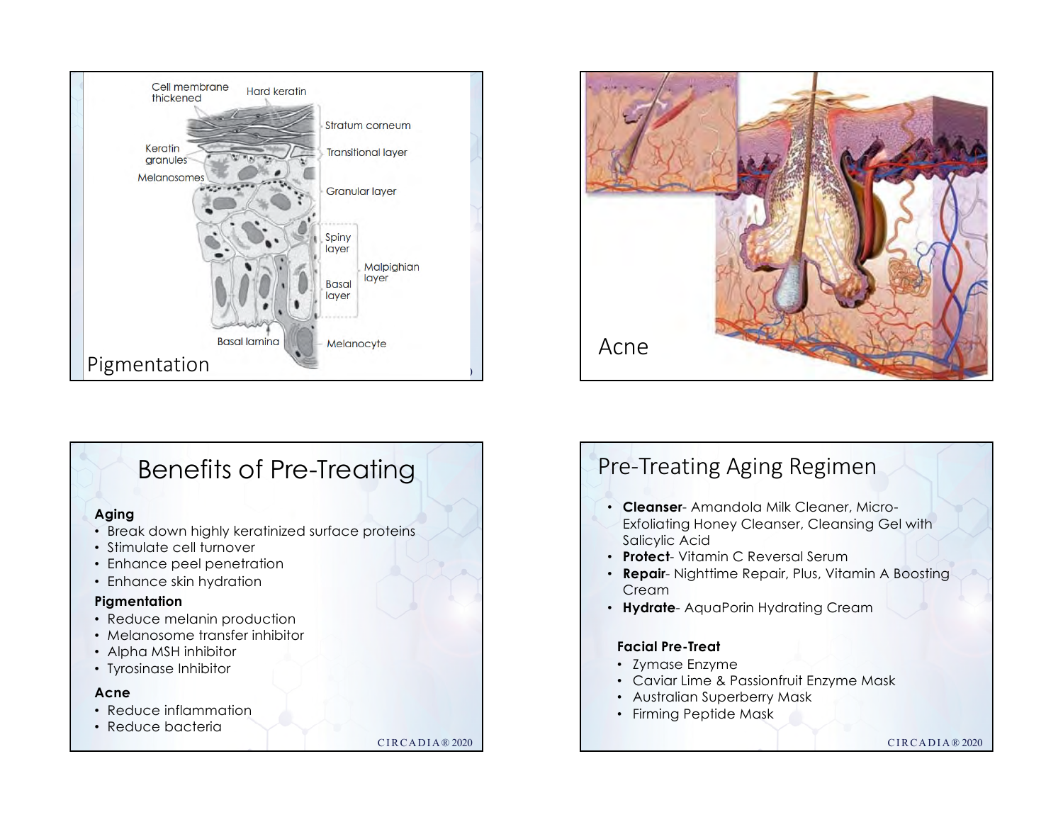

# Benefits of Pre-Treating

### **Aging**

- Break down highly keratinized surface proteins
- Stimulate cell turnover
- Enhance peel penetration
- Enhance skin hydration

### **Pigmentation**

- Reduce melanin production
- Melanosome transfer inhibitor
- Alpha MSH inhibitor
- Tyrosinase Inhibitor

### **Acne**

- Reduce inflammation
- Reduce bacteria

CIRCADIA® 2020



# Pre-Treating Aging Regimen

- **Cleanser** Amandola Milk Cleaner, Micro-Exfoliating Honey Cleanser, Cleansing Gel with Salicylic Acid
- **Protect** Vitamin C Reversal Serum
- **Repair** Nighttime Repair, Plus, Vitamin A Boosting **Cream**
- **Hydrate** AquaPorin Hydrating Cream

### **Facial Pre-Treat**

- Zymase Enzyme
- Caviar Lime & Passionfruit Enzyme Mask
- Australian Superberry Mask
- Firming Peptide Mask

### CIRCADIA® 2020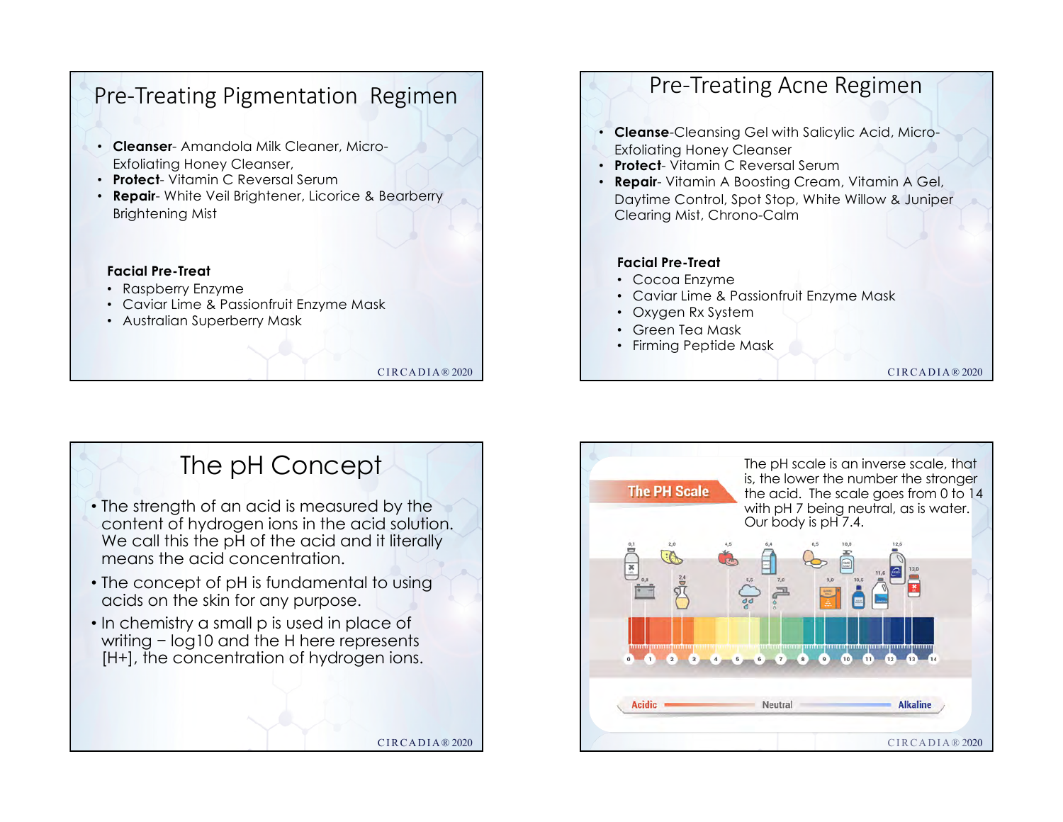# Pre-Treating Pigmentation Regimen

- **Cleanser** Amandola Milk Cleaner, Micro-Exfoliating Honey Cleanser,
- **Protect** Vitamin C Reversal Serum
- **Repair** White Veil Brightener, Licorice & Bearberry Brightening Mist

### **Facial Pre-Treat**

- Raspberry Enzyme
- Caviar Lime & Passionfruit Enzyme Mask
- Australian Superberry Mask

CIRCADIA® 2020

CIRCADIA® 2020

## Pre-Treating Acne Regimen

- **Cleanse**-Cleansing Gel with Salicylic Acid, Micro-Exfoliating Honey Cleanser
- **Protect** Vitamin C Reversal Serum
- **Repair** Vitamin A Boosting Cream, Vitamin A Gel, Daytime Control, Spot Stop, White Willow & Juniper Clearing Mist, Chrono-Calm

### **Facial Pre-Treat**

- Cocoa Enzyme
- Caviar Lime & Passionfruit Enzyme Mask
- Oxygen Rx System
- Green Tea Mask
- Firming Peptide Mask

CIRCADIA® 2020

# The pH Concept

- The strength of an acid is measured by the content of hydrogen ions in the acid solution. We call this the pH of the acid and it literally means the acid concentration.
- The concept of pH is fundamental to using acids on the skin for any purpose.
- In chemistry a small p is used in place of writing − log10 and the H here represents [H+], the concentration of hydrogen ions.

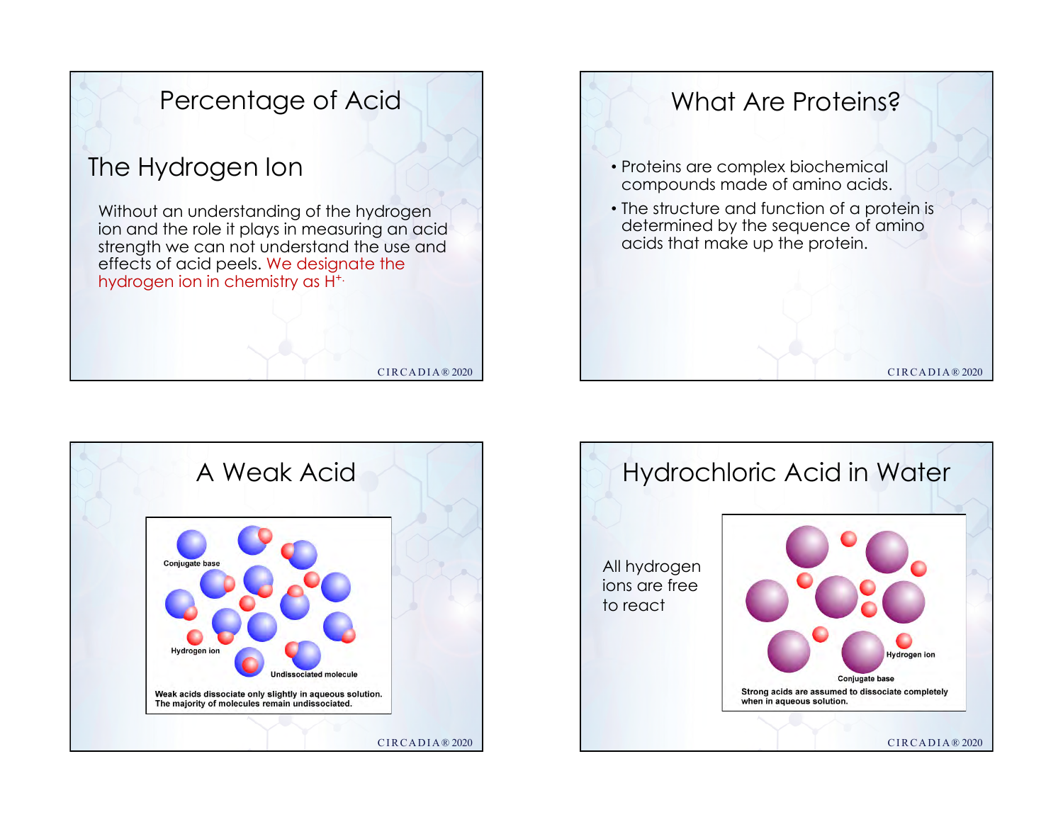





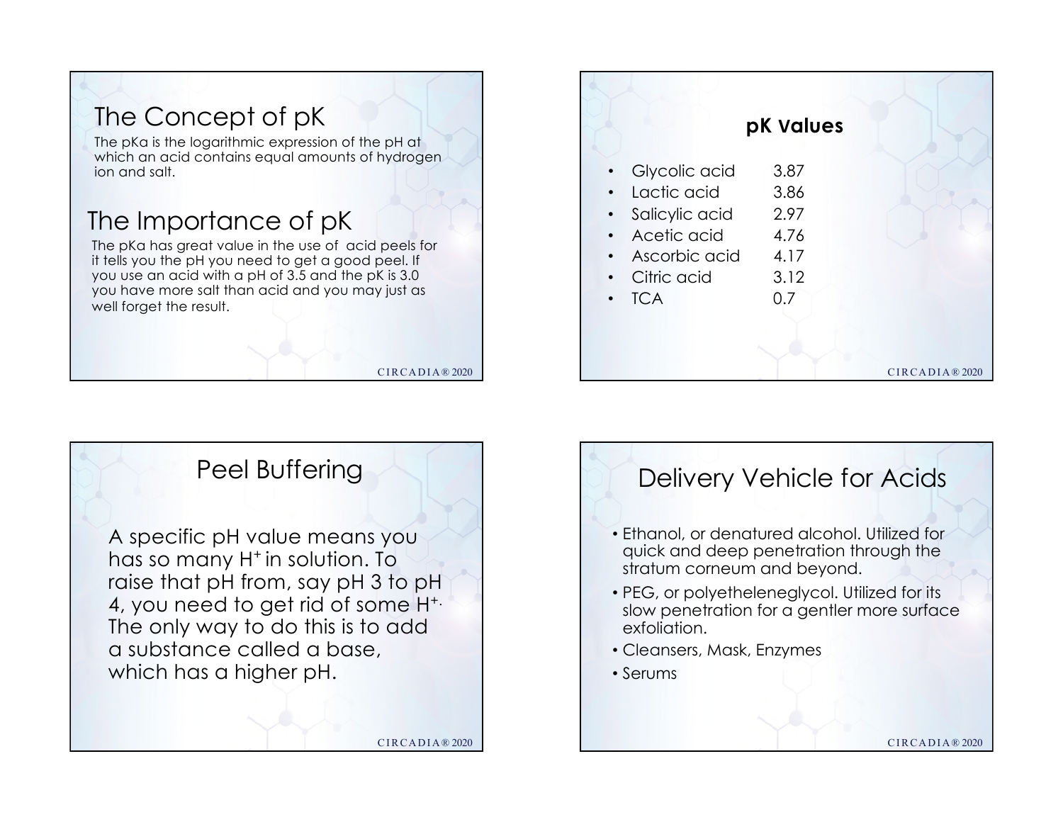





# CIRCADIA® 2020 Delivery Vehicle for Acids • Ethanol, or denatured alcohol. Utilized for quick and deep penetration through the stratum corneum and beyond. • PEG, or polyetheleneglycol. Utilized for its slow penetration for a gentler more surface exfoliation. • Cleansers, Mask, Enzymes • Serums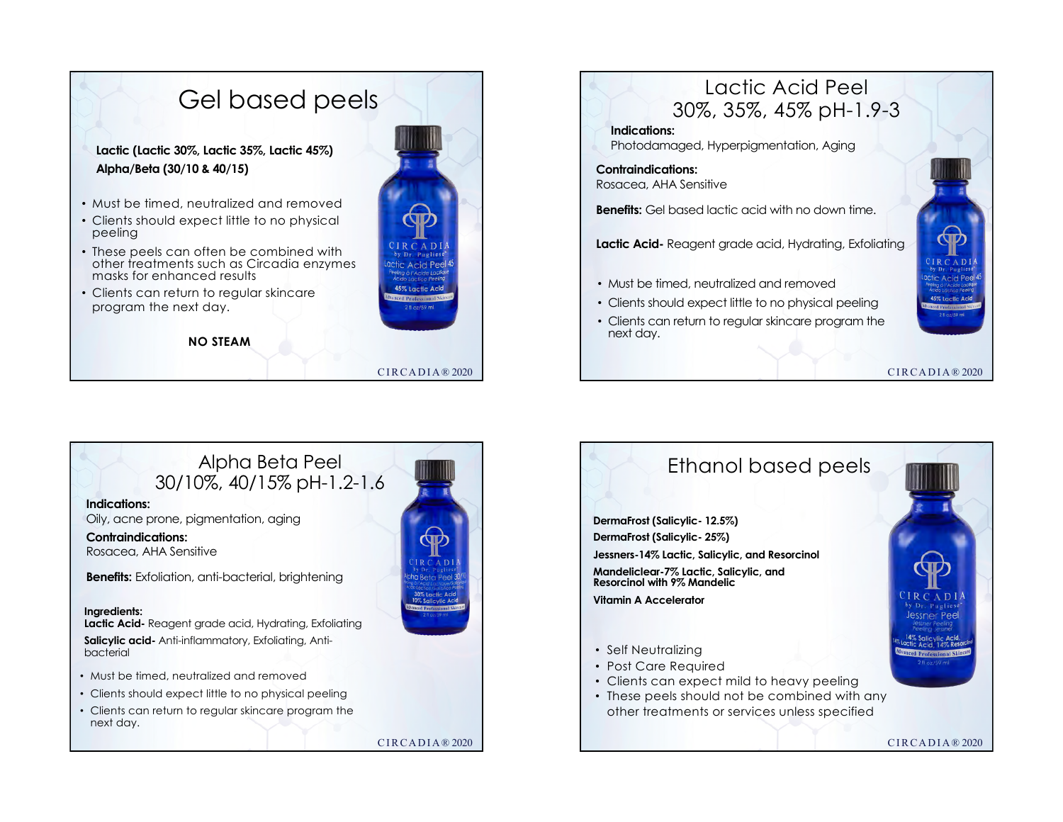





Rosacea, AHA Sensitive

**Benefits:** Exfoliation, anti-bacterial, brightening

### **Ingredients:**

**Lactic Acid-** Reagent grade acid, Hydrating, Exfoliating **Salicylic acid-** Anti-inflammatory, Exfoliating, Antibacterial

- Must be timed, neutralized and removed
- Clients should expect little to no physical peeling
- Clients can return to regular skincare program the next day.

CIRCADIA® 2020

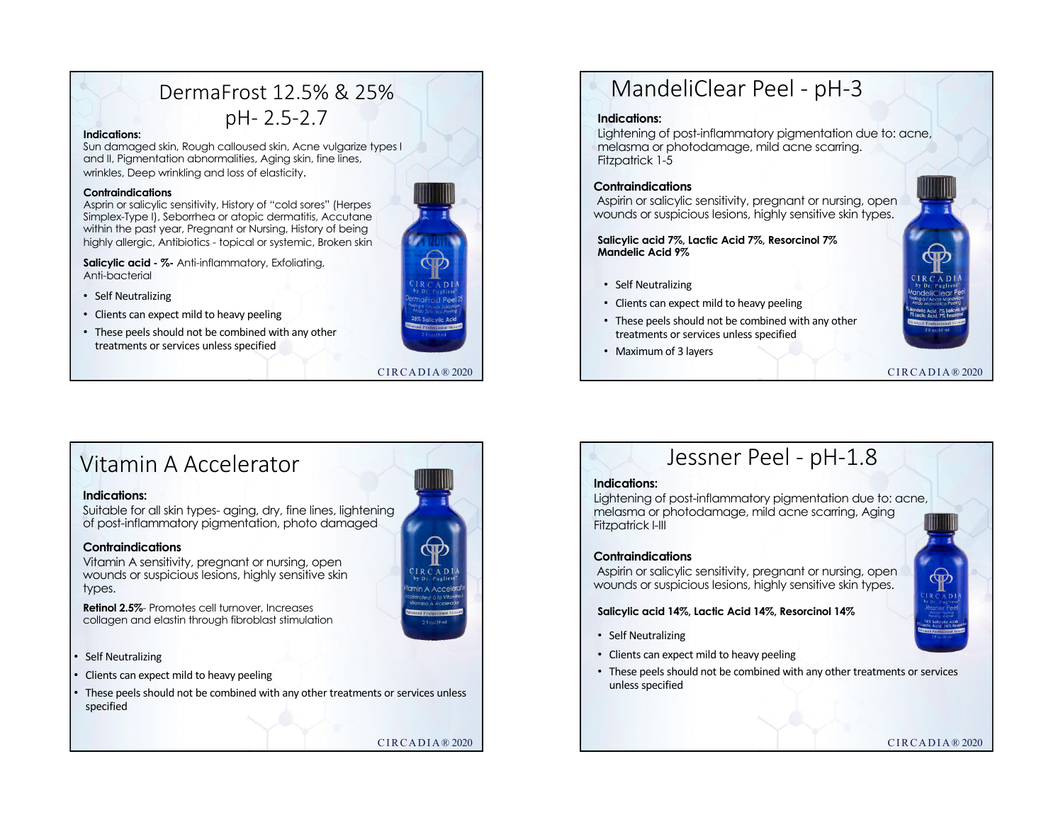## DermaFrost 12.5% & 25% pH- 2.5-2.7

#### **Indications:**

Sun damaged skin, Rough calloused skin, Acne vulgarize types I and II, Pigmentation abnormalities, Aging skin, fine lines, wrinkles, Deep wrinkling and loss of elasticity.

#### **Contraindications**

Asprin or salicylic sensitivity, History of "cold sores" (Herpes Simplex-Type I), Seborrhea or atopic dermatitis, Accutane within the past year, Pregnant or Nursing, History of being highly allergic, Antibiotics - topical or systemic, Broken skin

**Salicylic acid - %-** Anti-inflammatory, Exfoliating, Anti-bacterial

- Self Neutralizing
- Clients can expect mild to heavy peeling
- These peels should not be combined with any other treatments or services unless specified



CIRCADIA® 2020

## MandeliClear Peel - pH-3

#### **Indications:**

Lightening of post-inflammatory pigmentation due to: acne, melasma or photodamage, mild acne scarring. Fitzpatrick 1-5

### **Contraindications**

Aspirin or salicylic sensitivity, pregnant or nursing, open wounds or suspicious lesions, highly sensitive skin types.

**Salicylic acid 7%, Lactic Acid 7%, Resorcinol 7% Mandelic Acid 9%**

- Self Neutralizing
- Clients can expect mild to heavy peeling
- These peels should not be combined with any other treatments or services unless specified
- Maximum of 3 layers



CIRCADIA® 2020

## Vitamin A Accelerator

### **Indications:**

Suitable for all skin types- aging, dry, fine lines, lightening of post-inflammatory pigmentation, photo damaged

### **Contraindications**

Vitamin A sensitivity, pregnant or nursing, open wounds or suspicious lesions, highly sensitive skin types.

**Retinol 2.5%**- Promotes cell turnover, Increases collagen and elastin through fibroblast stimulation

Self Neutralizing

- Clients can expect mild to heavy peeling
- These peels should not be combined with any other treatments or services unless specified

CIRCADIA® 2020

## Jessner Peel - pH-1.8

### **Indications:**

Lightening of post-inflammatory pigmentation due to: acne, melasma or photodamage, mild acne scarring, Aging Fitzpatrick I-III

### **Contraindications**

Aspirin or salicylic sensitivity, pregnant or nursing, open wounds or suspicious lesions, highly sensitive skin types.

### **Salicylic acid 14%, Lactic Acid 14%, Resorcinol 14%**

- Self Neutralizing
- Clients can expect mild to heavy peeling
- These peels should not be combined with any other treatments or services unless specified